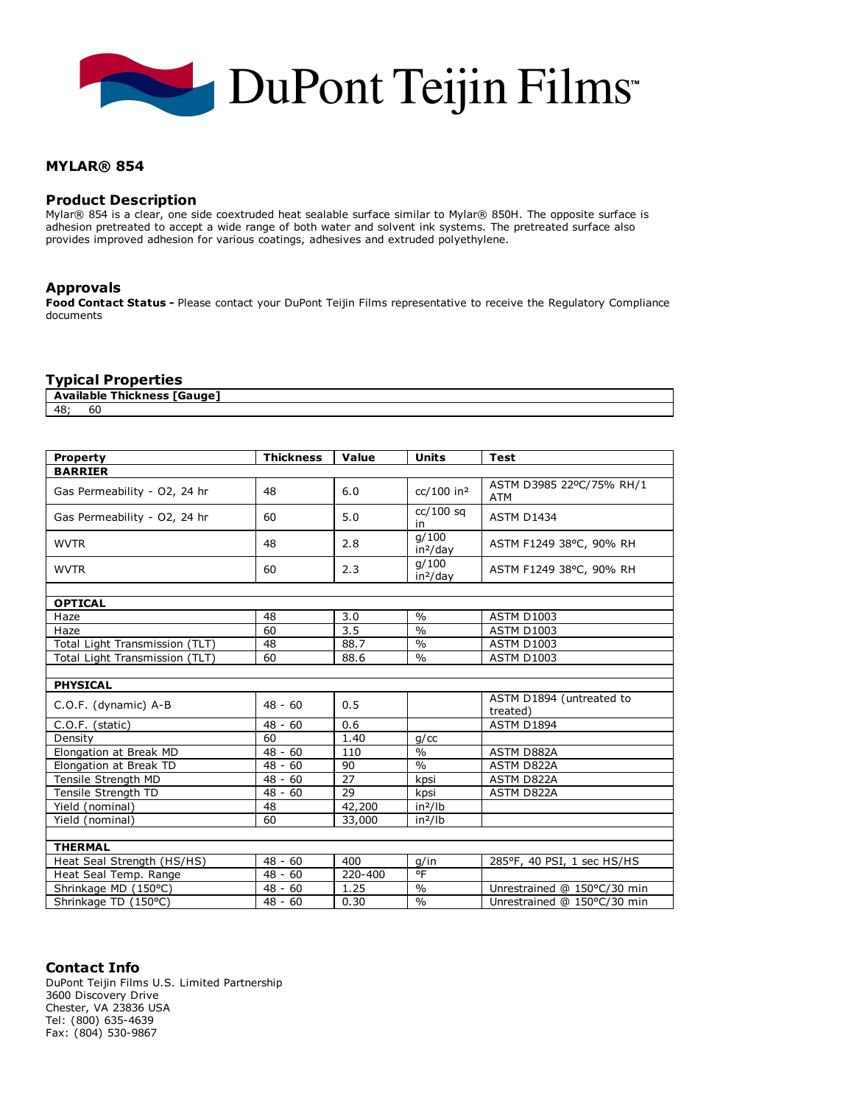

# MYLAR® 854

# Product Description

Mylar® 854 is a clear, one side coextruded heat sealable surface similar to Mylar® 850H. The opposite surface is adhesion pretreated to accept a wide range of both water and solvent ink systems. The pretreated surface also provides improved adhesion for various coatings, adhesives and extruded polyethylene.

# Approvals

Food Contact Status - Please contact your DuPont Teijin Films representative to receive the Regulatory Compliance documents

# Typical Properties

| <b>TGauge</b><br>Av<br><b>Thickness</b><br>ailable<br><b>Av</b> |    |  |  |  |  |  |
|-----------------------------------------------------------------|----|--|--|--|--|--|
| 48                                                              | οu |  |  |  |  |  |

| <b>Property</b>                | <b>Thickness</b> | Value   | <b>Units</b>                  | <b>Test</b>                          |  |  |  |
|--------------------------------|------------------|---------|-------------------------------|--------------------------------------|--|--|--|
| <b>BARRIER</b>                 |                  |         |                               |                                      |  |  |  |
| Gas Permeability - O2, 24 hr   | 48               | 6.0     | cc/100 in <sup>2</sup>        | ASTM D3985 22ºC/75% RH/1<br>ATM      |  |  |  |
| Gas Permeability - O2, 24 hr   | 60               | 5.0     | $cc/100$ sq<br>in             | <b>ASTM D1434</b>                    |  |  |  |
| <b>WVTR</b>                    | 48               | 2.8     | q/100<br>in <sup>2</sup> /day | ASTM F1249 38°C, 90% RH              |  |  |  |
| <b>WVTR</b>                    | 60               | 2.3     | q/100<br>in <sup>2</sup> /day | ASTM F1249 38°C, 90% RH              |  |  |  |
|                                |                  |         |                               |                                      |  |  |  |
| <b>OPTICAL</b>                 |                  |         |                               |                                      |  |  |  |
| Haze                           | 48               | 3.0     | $\frac{0}{0}$                 | <b>ASTM D1003</b>                    |  |  |  |
| Haze                           | 60               | 3.5     | $\%$                          | <b>ASTM D1003</b>                    |  |  |  |
| Total Light Transmission (TLT) | 48               | 88.7    | $\frac{0}{0}$                 | <b>ASTM D1003</b>                    |  |  |  |
| Total Light Transmission (TLT) | 60               | 88.6    | $\frac{0}{0}$                 | <b>ASTM D1003</b>                    |  |  |  |
|                                |                  |         |                               |                                      |  |  |  |
| <b>PHYSICAL</b>                |                  |         |                               |                                      |  |  |  |
| C.O.F. (dynamic) A-B           | $48 - 60$        | 0.5     |                               | ASTM D1894 (untreated to<br>treated) |  |  |  |
| C.O.F. (static)                | $48 - 60$        | 0.6     |                               | ASTM D1894                           |  |  |  |
| Density                        | 60               | 1.40    | $q$ / $cc$                    |                                      |  |  |  |
| Elongation at Break MD         | $48 - 60$        | 110     | $\frac{0}{0}$                 | ASTM D882A                           |  |  |  |
| Elongation at Break TD         | $48 - 60$        | 90      | $\frac{0}{0}$                 | ASTM D822A                           |  |  |  |
| Tensile Strength MD            | $48 - 60$        | 27      | kpsi                          | ASTM D822A                           |  |  |  |
| Tensile Strength TD            | $48 - 60$        | 29      | kpsi                          | ASTM D822A                           |  |  |  |
| Yield (nominal)                | 48               | 42,200  | $in^2/lb$                     |                                      |  |  |  |
| Yield (nominal)                | 60               | 33,000  | in <sup>2</sup> /lb           |                                      |  |  |  |
|                                |                  |         |                               |                                      |  |  |  |
| <b>THERMAL</b>                 |                  |         |                               |                                      |  |  |  |
| Heat Seal Strength (HS/HS)     | $48 - 60$        | 400     | g/in                          | 285°F, 40 PSI, 1 sec HS/HS           |  |  |  |
| Heat Seal Temp. Range          | $48 - 60$        | 220-400 | $rac{1}{\sqrt{2}}$            |                                      |  |  |  |
| Shrinkage MD (150°C)           | $48 - 60$        | 1.25    | $\frac{0}{0}$                 | Unrestrained @ 150°C/30 min          |  |  |  |
| Shrinkage TD (150°C)           | $48 - 60$        | 0.30    | $\frac{0}{0}$                 | Unrestrained @ 150°C/30 min          |  |  |  |

Contact Info DuPont Teijin Films U.S. Limited Partnership 3600 Discovery Drive Chester, VA 23836 USA Tel: (800) 635-4639 Fax: (804) 530-9867